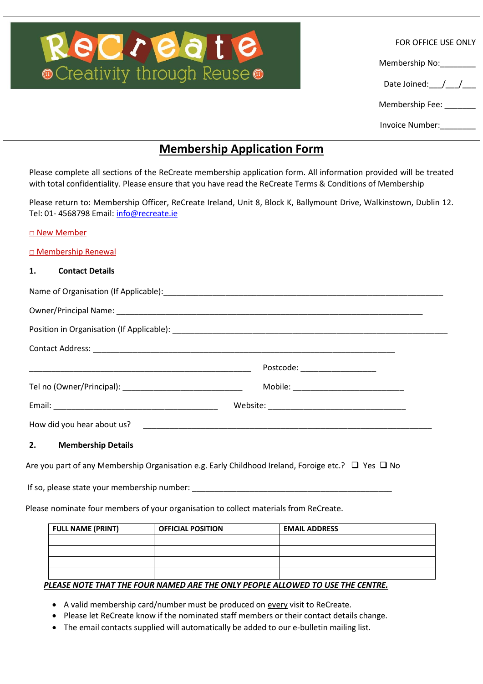# $\text{C}$ reativity through Reuse $\bullet$

FOR OFFICE USE ONLY

Membership No:

Date Joined: / /

Membership Fee: \_\_\_\_\_\_\_

Invoice Number:\_\_\_\_\_\_\_\_

### **Membership Application Form**

Please complete all sections of the ReCreate membership application form. All information provided will be treated with total confidentiality. Please ensure that you have read the ReCreate Terms & Conditions of Membership

Please return to: Membership Officer, ReCreate Ireland, Unit 8, Block K, Ballymount Drive, Walkinstown, Dublin 12. Tel: 01- 4568798 Email: [info@recreate.ie](mailto:info@recreate.ie)

□ New Member

□ Membership Renewal

#### **1. Contact Details**

|                       | Postcode: ____________________ |
|-----------------------|--------------------------------|
|                       |                                |
|                       |                                |
|                       |                                |
| 2. Membership Details |                                |

Are you part of any Membership Organisation e.g. Early Childhood Ireland, Foroige etc.?  $\Box$  Yes  $\Box$  No

If so, please state your membership number: \_\_\_\_\_\_\_\_\_\_\_\_\_\_\_\_\_\_\_\_\_\_\_\_\_\_\_\_\_\_\_\_\_\_\_\_\_\_\_\_\_\_\_\_\_

Please nominate four members of your organisation to collect materials from ReCreate.

| <b>FULL NAME (PRINT)</b> | <b>OFFICIAL POSITION</b> | <b>EMAIL ADDRESS</b> |  |
|--------------------------|--------------------------|----------------------|--|
|                          |                          |                      |  |
|                          |                          |                      |  |
|                          |                          |                      |  |
|                          |                          |                      |  |

#### *PLEASE NOTE THAT THE FOUR NAMED ARE THE ONLY PEOPLE ALLOWED TO USE THE CENTRE.*

- A valid membership card/number must be produced on every visit to ReCreate.
- Please let ReCreate know if the nominated staff members or their contact details change.
- The email contacts supplied will automatically be added to our e-bulletin mailing list.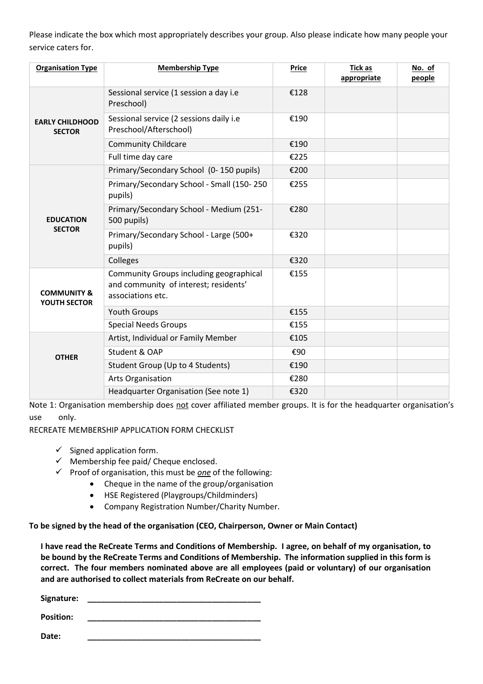Please indicate the box which most appropriately describes your group. Also please indicate how many people your service caters for.

| <b>Organisation Type</b>                | <b>Membership Type</b>                                                                                       | <b>Price</b> | <b>Tick as</b><br>appropriate | No. of<br>people |
|-----------------------------------------|--------------------------------------------------------------------------------------------------------------|--------------|-------------------------------|------------------|
| <b>EARLY CHILDHOOD</b><br><b>SECTOR</b> | Sessional service (1 session a day i.e<br>Preschool)                                                         | €128         |                               |                  |
|                                         | Sessional service (2 sessions daily i.e<br>Preschool/Afterschool)                                            | €190         |                               |                  |
|                                         | <b>Community Childcare</b>                                                                                   | €190         |                               |                  |
|                                         | Full time day care                                                                                           | €225         |                               |                  |
| <b>EDUCATION</b><br><b>SECTOR</b>       | Primary/Secondary School (0-150 pupils)                                                                      | €200         |                               |                  |
|                                         | Primary/Secondary School - Small (150-250<br>pupils)                                                         | €255         |                               |                  |
|                                         | Primary/Secondary School - Medium (251-<br>500 pupils)                                                       | €280         |                               |                  |
|                                         | Primary/Secondary School - Large (500+<br>pupils)                                                            | €320         |                               |                  |
|                                         | Colleges                                                                                                     | €320         |                               |                  |
| <b>COMMUNITY &amp;</b><br>YOUTH SECTOR  | <b>Community Groups including geographical</b><br>and community of interest; residents'<br>associations etc. | €155         |                               |                  |
|                                         | <b>Youth Groups</b>                                                                                          | €155         |                               |                  |
|                                         | <b>Special Needs Groups</b>                                                                                  | €155         |                               |                  |
| <b>OTHER</b>                            | Artist, Individual or Family Member                                                                          | €105         |                               |                  |
|                                         | Student & OAP                                                                                                | €90          |                               |                  |
|                                         | Student Group (Up to 4 Students)                                                                             | €190         |                               |                  |
|                                         | Arts Organisation                                                                                            | €280         |                               |                  |
|                                         | Headquarter Organisation (See note 1)                                                                        | €320         |                               |                  |

Note 1: Organisation membership does not cover affiliated member groups. It is for the headquarter organisation's use only.

RECREATE MEMBERSHIP APPLICATION FORM CHECKLIST

- $\checkmark$  Signed application form.
- $\checkmark$  Membership fee paid/ Cheque enclosed.
- $\checkmark$  Proof of organisation, this must be <u>one</u> of the following:
	- Cheque in the name of the group/organisation
	- HSE Registered (Playgroups/Childminders)
	- Company Registration Number/Charity Number.

**To be signed by the head of the organisation (CEO, Chairperson, Owner or Main Contact)**

**I have read the ReCreate Terms and Conditions of Membership. I agree, on behalf of my organisation, to be bound by the ReCreate Terms and Conditions of Membership. The information supplied in this form is correct. The four members nominated above are all employees (paid or voluntary) of our organisation and are authorised to collect materials from ReCreate on our behalf.**

**Signature: \_\_\_\_\_\_\_\_\_\_\_\_\_\_\_\_\_\_\_\_\_\_\_\_\_\_\_\_\_\_\_\_\_\_\_\_\_\_\_ Position: \_\_\_\_\_\_\_\_\_\_\_\_\_\_\_\_\_\_\_\_\_\_\_\_\_\_\_\_\_\_\_\_\_\_\_\_\_\_\_**

**Date: \_\_\_\_\_\_\_\_\_\_\_\_\_\_\_\_\_\_\_\_\_\_\_\_\_\_\_\_\_\_\_\_\_\_\_\_\_\_\_**